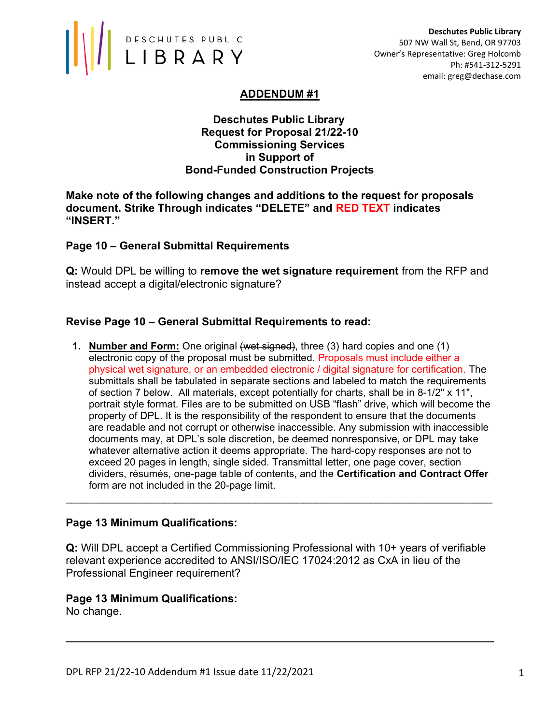

# ADDENDUM #1

#### Deschutes Public Library Request for Proposal 21/22-10 Commissioning Services in Support of Bond-Funded Construction Projects

Make note of the following changes and additions to the request for proposals document. Strike Through indicates "DELETE" and RED TEXT indicates "INSERT."

### Page 10 – General Submittal Requirements

Q: Would DPL be willing to remove the wet signature requirement from the RFP and instead accept a digital/electronic signature?

#### Revise Page 10 – General Submittal Requirements to read:

**1. Number and Form:** One original (wet signed), three (3) hard copies and one (1) electronic copy of the proposal must be submitted. Proposals must include either a physical wet signature, or an embedded electronic / digital signature for certification. The submittals shall be tabulated in separate sections and labeled to match the requirements of section 7 below. All materials, except potentially for charts, shall be in 8-1/2" x 11", portrait style format. Files are to be submitted on USB "flash" drive, which will become the property of DPL. It is the responsibility of the respondent to ensure that the documents are readable and not corrupt or otherwise inaccessible. Any submission with inaccessible documents may, at DPL's sole discretion, be deemed nonresponsive, or DPL may take whatever alternative action it deems appropriate. The hard-copy responses are not to exceed 20 pages in length, single sided. Transmittal letter, one page cover, section dividers, résumés, one-page table of contents, and the Certification and Contract Offer form are not included in the 20-page limit.

#### Page 13 Minimum Qualifications:

Q: Will DPL accept a Certified Commissioning Professional with 10+ years of verifiable relevant experience accredited to ANSI/ISO/IEC 17024:2012 as CxA in lieu of the Professional Engineer requirement?

\_\_\_\_\_\_\_\_\_\_\_\_\_\_\_\_\_\_\_\_\_\_\_\_\_\_\_\_\_\_\_\_\_\_\_\_\_\_\_\_\_\_\_\_\_\_\_\_\_\_\_\_\_\_\_\_\_\_\_\_\_\_\_\_\_\_\_\_\_\_

Page 13 Minimum Qualifications: No change.

 $\overline{a}$